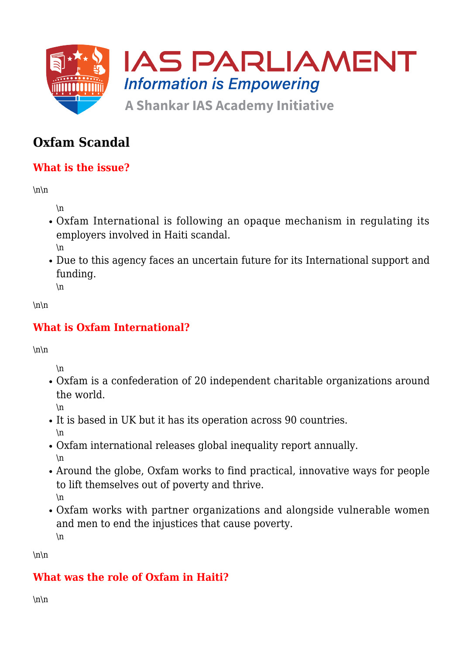

# **Oxfam Scandal**

# **What is the issue?**

 $\ln\$ 

\n

- Oxfam International is following an opaque mechanism in regulating its employers involved in Haiti scandal. \n
- Due to this agency faces an uncertain future for its International support and funding. \n

 $\ln\$ 

# **What is Oxfam International?**

 $\ln\$ 

\n

Oxfam is a confederation of 20 independent charitable organizations around the world.

\n

- It is based in UK but it has its operation across 90 countries. \n
- Oxfam international releases global inequality report annually. \n
- Around the globe, Oxfam works to find practical, innovative ways for people to lift themselves out of poverty and thrive. \n
- Oxfam works with partner organizations and alongside vulnerable women and men to end the injustices that cause poverty. \n

 $\ln\$ 

# **What was the role of Oxfam in Haiti?**

 $\ln\$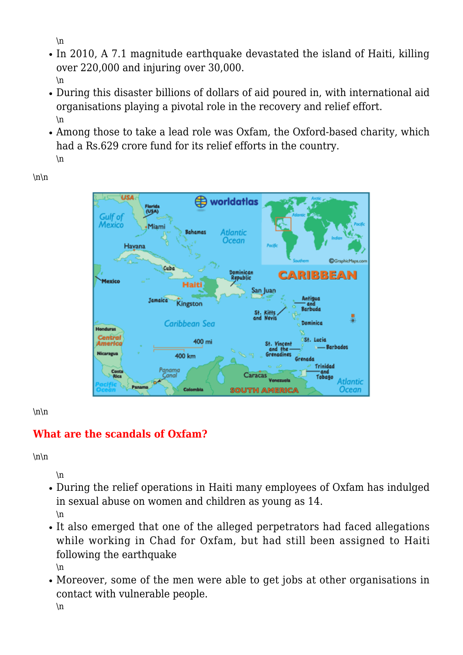\n

- In 2010, A 7.1 magnitude earthquake devastated the island of Haiti, killing over 220,000 and injuring over 30,000. \n
- During this disaster billions of dollars of aid poured in, with international aid organisations playing a pivotal role in the recovery and relief effort. \n
- Among those to take a lead role was Oxfam, the Oxford-based charity, which had a Rs.629 crore fund for its relief efforts in the country. \n

**USA ED** worldatlas rus. Gulf of Mexico Miam Rahamas Atlantic Ocean Havana **C**GraphicMa CARIBBEAN Movico Haiti San Juan **Tamaica** Kingston Caribbean Sea Dominics **Honduras** Centro **SE Lucia** 400 mi St. Vincent 400 km Trinidad — and<br>Tobago Atlantic **Ocean** Co<sup>1</sup> **SOUTH AMERICA** 

 $\ln\$ 

#### $\ln\$

# **What are the scandals of Oxfam?**

 $\ln\$ 

 $\ln$ 

- During the relief operations in Haiti many employees of Oxfam has indulged in sexual abuse on women and children as young as 14. \n
- It also emerged that one of the alleged perpetrators had faced allegations while working in Chad for Oxfam, but had still been assigned to Haiti following the earthquake \n
- Moreover, some of the men were able to get jobs at other organisations in contact with vulnerable people.

 $\ln$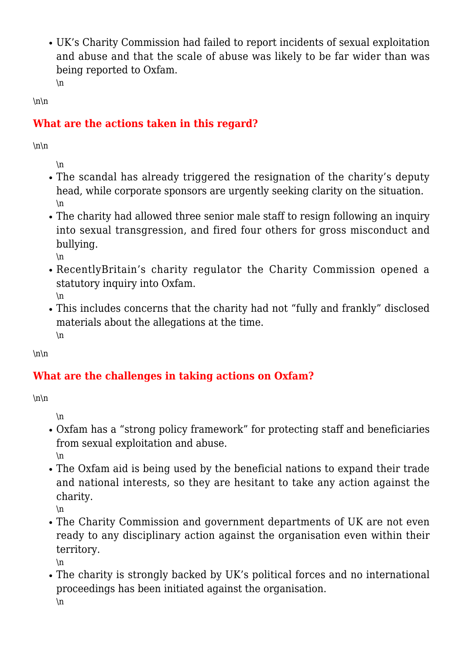UK's Charity Commission had failed to report incidents of sexual exploitation and abuse and that the scale of abuse was likely to be far wider than was being reported to Oxfam.

 $\ln$ 

# **What are the actions taken in this regard?**

 $\ln\$ 

 $\ln\$ 

\n

- The scandal has already triggered the resignation of the charity's deputy head, while corporate sponsors are urgently seeking clarity on the situation. \n
- The charity had allowed three senior male staff to resign following an inquiry into sexual transgression, and fired four others for gross misconduct and bullying.
	- $\ln$
- RecentlyBritain's charity regulator the Charity Commission opened a statutory inquiry into Oxfam. \n
- This includes concerns that the charity had not "fully and frankly" disclosed materials about the allegations at the time.  $\ln$

 $\ln\$ 

# **What are the challenges in taking actions on Oxfam?**

 $\ln\$ 

\n

- Oxfam has a "strong policy framework" for protecting staff and beneficiaries from sexual exploitation and abuse. \n
- The Oxfam aid is being used by the beneficial nations to expand their trade and national interests, so they are hesitant to take any action against the charity.

\n

The Charity Commission and government departments of UK are not even ready to any disciplinary action against the organisation even within their territory.

\n

The charity is strongly backed by UK's political forces and no international proceedings has been initiated against the organisation. \n